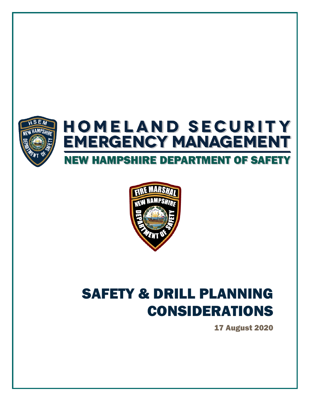

## **HOMELAND SECURITY EMERGENCY MANAGEMENT NEW HAMPSHIRE DEPARTMENT OF SAFETY**



# SAFETY & DRILL PLANNING CONSIDERATIONS

17 August 2020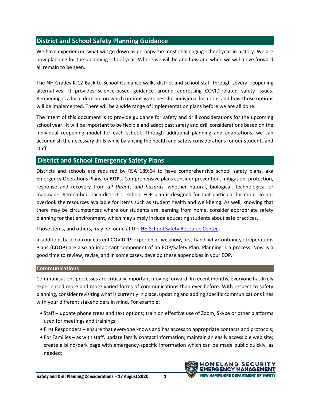## **District and School Safety Planning Guidance**

We have experienced what will go down as perhaps the most challenging school year in history. We are now planning for the upcoming school year. Where we will be and how and when we will move forward all remain to be seen.

The NH Grades K-12 Back to School Guidance walks district and school staff through several reopening alternatives. It provides science-based guidance around addressing COVID-related safety issues. Reopening is a local decision on which options work best for individual locations and how those options will be implemented. There will be a wide range of implementation plans before we are all done.

The intent of this document is to provide guidance for safety and drill considerations for the upcoming school year. It will be important to be flexible and adapt past safety and drill considerations based on the individual reopening model for each school. Through additional planning and adaptations, we can accomplish the necessary drills while balancing the health and safety considerations for our students and staff.

### **District and School Emergency Safety Plans**

Districts and schools are required by RSA 189:64 to have comprehensive school safety plans, aka Emergency Operations Plans, or **EOP**s. Comprehensive plans consider prevention, mitigation, protection, response and recovery from *all threats and hazards*, whether natural, biological, technological or manmade. Remember, each district or school EOP plan is designed for that particular location. Do not overlook the resources available for items such as student health and well-being. As well, knowing that there may be circumstances where our students are learning from home, consider appropriate safety planning for that environment, which may simply include educating students about safe practices.

Those items, and others, may be found at th[e NH School Safety Resource Center.](https://schoolsafetyresources.nh.gov/how-to-use-the-nh-school-safety-resource-center/)

In addition, based on our current COVID-19 experience, we know, first-hand, why Continuity of Operations Plans (**COOP**) are also an important component of an EOP/Safety Plan. Planning is a process. Now is a good time to review, revise, and in some cases, develop these appendixes in your EOP.

#### **Communications**

Communications processes are critically important moving forward. In recent months, everyone has likely experienced more and more varied forms of communications than ever before. With respect to safety planning, consider revisiting what is currently in place, updating and adding specific communications lines with your different stakeholders in mind. For example:

- Staff update phone trees and text options; train on effective use of Zoom, Skype or other platforms used for meetings and trainings;
- First Responders ensure that everyone knows and has access to appropriate contacts and protocols;
- For Families as with staff, update family contact information; maintain an easily accessible web site; create a blind/dark page with emergency-specific information which can be made public quickly, as needed;

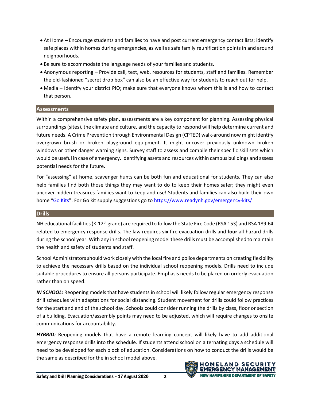- At Home Encourage students and families to have and post current emergency contact lists; identify safe places within homes during emergencies, as well as safe family reunification points in and around neighborhoods.
- Be sure to accommodate the language needs of your families and students.
- Anonymous reporting Provide call, text, web, resources for students, staff and families. Remember the old-fashioned "secret drop box" can also be an effective way for students to reach out for help.
- Media Identify your district PIO; make sure that everyone knows whom this is and how to contact that person.

#### **Assessments**

Within a comprehensive safety plan, assessments are a key component for planning. Assessing physical surroundings (sites), the climate and culture, and the capacity to respond will help determine current and future needs. A Crime Prevention through Environmental Design (CPTED) walk-around now might identify overgrown brush or broken playground equipment. It might uncover previously unknown broken windows or other danger warning signs. Survey staff to assess and compile their specific skill sets which would be useful in case of emergency. Identifying assets and resources within campus buildings and assess potential needs for the future.

For "assessing" at home, scavenger hunts can be both fun and educational for students. They can also help families find both those things they may want to do to keep their homes safer; they might even uncover hidden treasures families want to keep and use! Students and families can also build their own home "[Go Kits](https://www.k12.wa.us/sites/default/files/public/safetycenter/emergency/pubdocs/emergencysuppliesgokitsuggestions.pdf)". For Go kit supply suggestions go to<https://www.readynh.gov/emergency-kits/>

#### **Drills**

NH educational facilities (K-12<sup>th</sup> grade) are required to follow the State Fire Code (RSA 153) and RSA 189:64 related to emergency response drills. The law requires **six** fire evacuation drills and **four** all-hazard drills during the school year. With any in school reopening model these drills must be accomplished to maintain the health and safety of students and staff.

School Administrators should work closely with the local fire and police departments on creating flexibility to achieve the necessary drills based on the individual school reopening models. Drills need to include suitable procedures to ensure all persons participate. Emphasis needs to be placed on orderly evacuation rather than on speed.

*IN SCHOOL:* Reopening models that have students in school will likely follow regular emergency response drill schedules with adaptations for social distancing. Student movement for drills could follow practices for the start and end of the school day. Schools could consider running the drills by class, floor or section of a building. Evacuation/assembly points may need to be adjusted, which will require changes to onsite communications for accountability.

*HYBRID:* Reopening models that have a remote learning concept will likely have to add additional emergency response drills into the schedule. If students attend school on alternating days a schedule will need to be developed for each block of education. Considerations on how to conduct the drills would be the same as described for the in school model above.